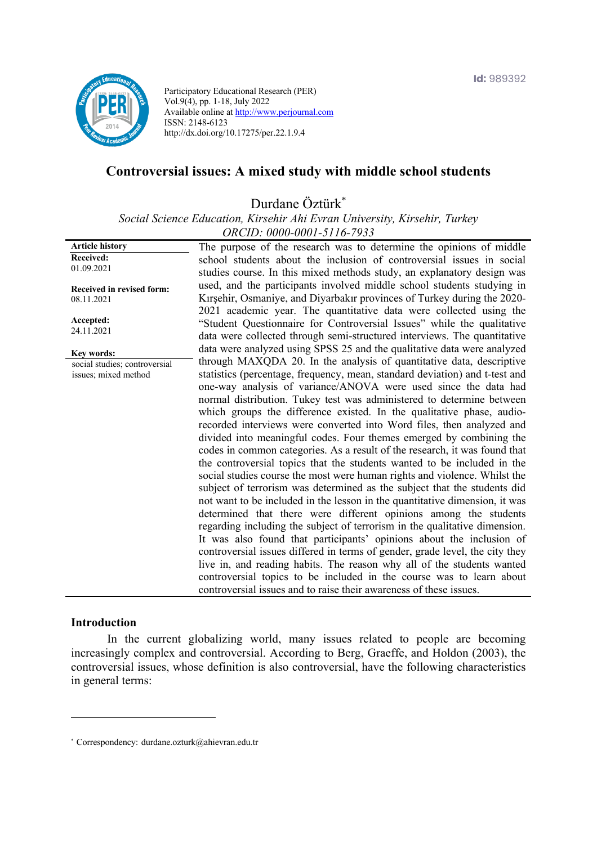

Participatory Educational Research (PER) Vol.9(4), pp. 1-18, July 2022 Available online at http://www.perjournal.com ISSN: 2148-6123 http://dx.doi.org/10.17275/per.22.1.9.4

# **Controversial issues: A mixed study with middle school students**

Durdane Öztürk\*

*Social Science Education, Kirsehir Ahi Evran University, Kirsehir, Turkey ORCID: 0000-0001-5116-7933*

**Article history Received:**  01.09.2021 **Received in revised form:**  08.11.2021 **Accepted:** 24.11.2021 The purpose of the research was to determine the opinions of middle school students about the inclusion of controversial issues in social studies course. In this mixed methods study, an explanatory design was used, and the participants involved middle school students studying in Kırşehir, Osmaniye, and Diyarbakır provinces of Turkey during the 2020- 2021 academic year. The quantitative data were collected using the "Student Questionnaire for Controversial Issues" while the qualitative data were collected through semi-structured interviews. The quantitative data were analyzed using SPSS 25 and the qualitative data were analyzed through MAXQDA 20. In the analysis of quantitative data, descriptive statistics (percentage, frequency, mean, standard deviation) and t-test and one-way analysis of variance/ANOVA were used since the data had normal distribution. Tukey test was administered to determine between which groups the difference existed. In the qualitative phase, audiorecorded interviews were converted into Word files, then analyzed and divided into meaningful codes. Four themes emerged by combining the codes in common categories. As a result of the research, it was found that the controversial topics that the students wanted to be included in the social studies course the most were human rights and violence. Whilst the subject of terrorism was determined as the subject that the students did not want to be included in the lesson in the quantitative dimension, it was determined that there were different opinions among the students regarding including the subject of terrorism in the qualitative dimension. It was also found that participants' opinions about the inclusion of controversial issues differed in terms of gender, grade level, the city they live in, and reading habits. The reason why all of the students wanted controversial topics to be included in the course was to learn about controversial issues and to raise their awareness of these issues. **Key words:** social studies; controversial issues; mixed method

## **Introduction**

In the current globalizing world, many issues related to people are becoming increasingly complex and controversial. According to Berg, Graeffe, and Holdon (2003), the controversial issues, whose definition is also controversial, have the following characteristics in general terms:

<sup>\*</sup> Correspondency: durdane.ozturk@ahievran.edu.tr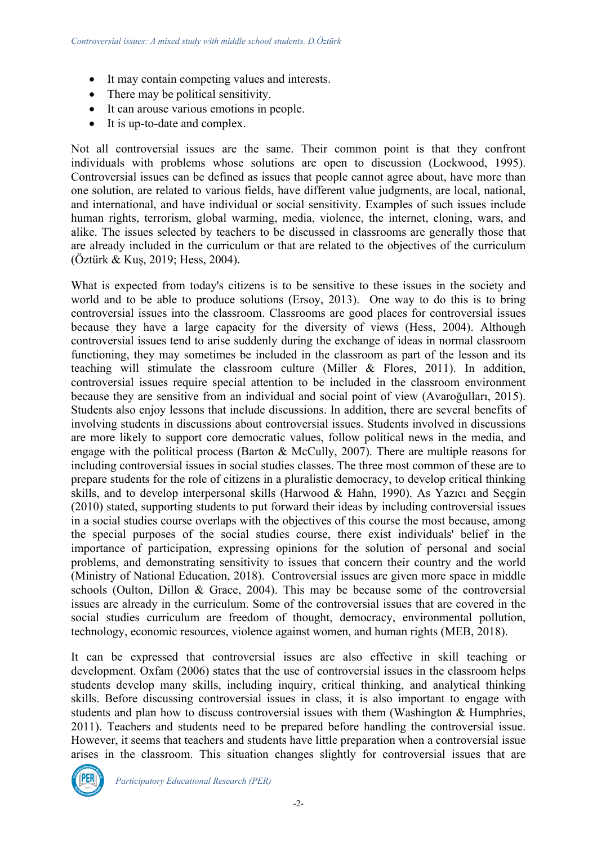- It may contain competing values and interests.
- There may be political sensitivity.
- It can arouse various emotions in people.
- It is up-to-date and complex.

Not all controversial issues are the same. Their common point is that they confront individuals with problems whose solutions are open to discussion (Lockwood, 1995). Controversial issues can be defined as issues that people cannot agree about, have more than one solution, are related to various fields, have different value judgments, are local, national, and international, and have individual or social sensitivity. Examples of such issues include human rights, terrorism, global warming, media, violence, the internet, cloning, wars, and alike. The issues selected by teachers to be discussed in classrooms are generally those that are already included in the curriculum or that are related to the objectives of the curriculum (Öztürk & Kuş, 2019; Hess, 2004).

What is expected from today's citizens is to be sensitive to these issues in the society and world and to be able to produce solutions (Ersoy, 2013). One way to do this is to bring controversial issues into the classroom. Classrooms are good places for controversial issues because they have a large capacity for the diversity of views (Hess, 2004). Although controversial issues tend to arise suddenly during the exchange of ideas in normal classroom functioning, they may sometimes be included in the classroom as part of the lesson and its teaching will stimulate the classroom culture (Miller & Flores, 2011). In addition, controversial issues require special attention to be included in the classroom environment because they are sensitive from an individual and social point of view (Avaroğulları, 2015). Students also enjoy lessons that include discussions. In addition, there are several benefits of involving students in discussions about controversial issues. Students involved in discussions are more likely to support core democratic values, follow political news in the media, and engage with the political process (Barton & McCully, 2007). There are multiple reasons for including controversial issues in social studies classes. The three most common of these are to prepare students for the role of citizens in a pluralistic democracy, to develop critical thinking skills, and to develop interpersonal skills (Harwood & Hahn, 1990). As Yazıcı and Seçgin (2010) stated, supporting students to put forward their ideas by including controversial issues in a social studies course overlaps with the objectives of this course the most because, among the special purposes of the social studies course, there exist individuals' belief in the importance of participation, expressing opinions for the solution of personal and social problems, and demonstrating sensitivity to issues that concern their country and the world (Ministry of National Education, 2018). Controversial issues are given more space in middle schools (Oulton, Dillon & Grace, 2004). This may be because some of the controversial issues are already in the curriculum. Some of the controversial issues that are covered in the social studies curriculum are freedom of thought, democracy, environmental pollution, technology, economic resources, violence against women, and human rights (MEB, 2018).

It can be expressed that controversial issues are also effective in skill teaching or development. Oxfam (2006) states that the use of controversial issues in the classroom helps students develop many skills, including inquiry, critical thinking, and analytical thinking skills. Before discussing controversial issues in class, it is also important to engage with students and plan how to discuss controversial issues with them (Washington & Humphries, 2011). Teachers and students need to be prepared before handling the controversial issue. However, it seems that teachers and students have little preparation when a controversial issue arises in the classroom. This situation changes slightly for controversial issues that are

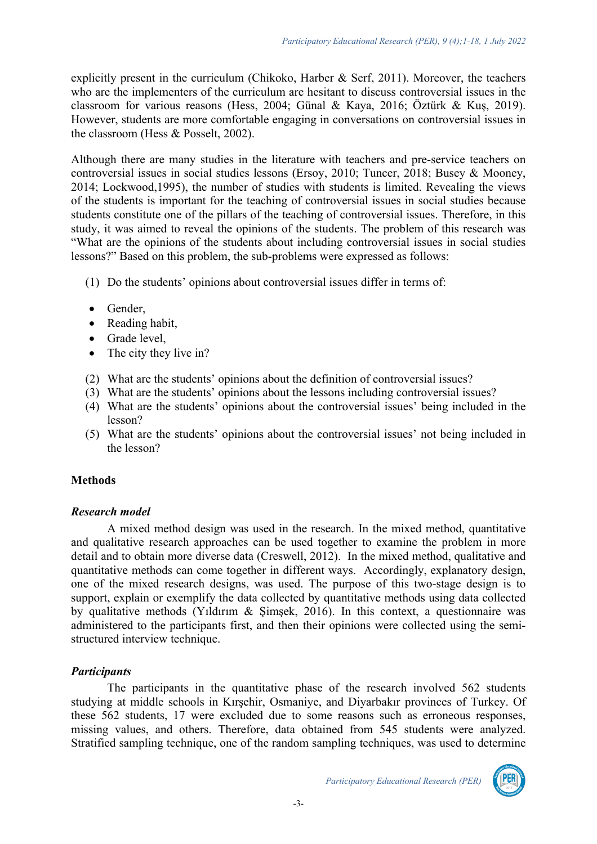explicitly present in the curriculum (Chikoko, Harber & Serf, 2011). Moreover, the teachers who are the implementers of the curriculum are hesitant to discuss controversial issues in the classroom for various reasons (Hess, 2004; Günal & Kaya, 2016; Öztürk & Kuş, 2019). However, students are more comfortable engaging in conversations on controversial issues in the classroom (Hess & Posselt, 2002).

Although there are many studies in the literature with teachers and pre-service teachers on controversial issues in social studies lessons (Ersoy, 2010; Tuncer, 2018; Busey & Mooney, 2014; Lockwood,1995), the number of studies with students is limited. Revealing the views of the students is important for the teaching of controversial issues in social studies because students constitute one of the pillars of the teaching of controversial issues. Therefore, in this study, it was aimed to reveal the opinions of the students. The problem of this research was "What are the opinions of the students about including controversial issues in social studies lessons?" Based on this problem, the sub-problems were expressed as follows:

- (1) Do the students' opinions about controversial issues differ in terms of:
- Gender,
- Reading habit,
- Grade level.
- The city they live in?
- (2) What are the students' opinions about the definition of controversial issues?
- (3) What are the students' opinions about the lessons including controversial issues?
- (4) What are the students' opinions about the controversial issues' being included in the lesson?
- (5) What are the students' opinions about the controversial issues' not being included in the lesson?

## **Methods**

## *Research model*

A mixed method design was used in the research. In the mixed method, quantitative and qualitative research approaches can be used together to examine the problem in more detail and to obtain more diverse data (Creswell, 2012). In the mixed method, qualitative and quantitative methods can come together in different ways. Accordingly, explanatory design, one of the mixed research designs, was used. The purpose of this two-stage design is to support, explain or exemplify the data collected by quantitative methods using data collected by qualitative methods (Yıldırım & Şimşek, 2016). In this context, a questionnaire was administered to the participants first, and then their opinions were collected using the semistructured interview technique.

# *Participants*

The participants in the quantitative phase of the research involved 562 students studying at middle schools in Kırşehir, Osmaniye, and Diyarbakır provinces of Turkey. Of these 562 students, 17 were excluded due to some reasons such as erroneous responses, missing values, and others. Therefore, data obtained from 545 students were analyzed. Stratified sampling technique, one of the random sampling techniques, was used to determine

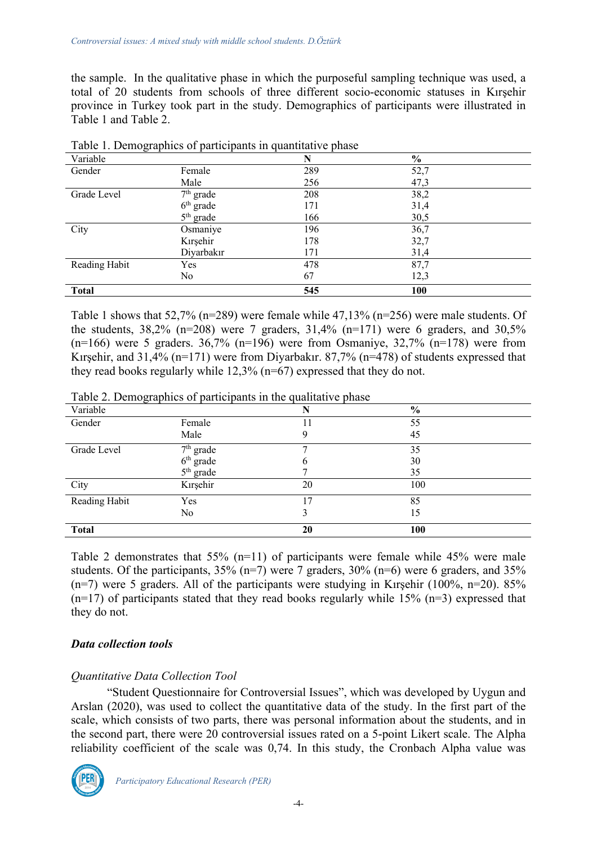the sample. In the qualitative phase in which the purposeful sampling technique was used, a total of 20 students from schools of three different socio-economic statuses in Kırşehir province in Turkey took part in the study. Demographics of participants were illustrated in Table 1 and Table 2.

| $1.2.2$ $1.2.2$ $1.2.2$ |             | .   |                |  |
|-------------------------|-------------|-----|----------------|--|
| Variable                |             | N   | $\frac{6}{10}$ |  |
| Gender                  | Female      | 289 | 52,7           |  |
|                         | Male        | 256 | 47,3           |  |
| Grade Level             | $7th$ grade | 208 | 38,2           |  |
|                         | $6th$ grade | 171 | 31,4           |  |
|                         | $5th$ grade | 166 | 30,5           |  |
| City                    | Osmaniye    | 196 | 36,7           |  |
|                         | Kırşehir    | 178 | 32,7           |  |
|                         | Diyarbakır  | 171 | 31,4           |  |
| Reading Habit           | Yes         | 478 | 87,7           |  |
|                         | No          | 67  | 12,3           |  |
| <b>Total</b>            |             | 545 | 100            |  |

| Table 1. Demographics of participants in quantitative phase |  |  |  |
|-------------------------------------------------------------|--|--|--|
|                                                             |  |  |  |

Table 1 shows that 52,7% (n=289) were female while 47,13% (n=256) were male students. Of the students,  $38,2\%$  (n=208) were 7 graders,  $31,4\%$  (n=171) were 6 graders, and  $30,5\%$  $(n=166)$  were 5 graders. 36,7%  $(n=196)$  were from Osmaniye, 32,7%  $(n=178)$  were from Kirsehir, and  $31.4\%$  (n=171) were from Divarbakir. 87,7% (n=478) of students expressed that they read books regularly while 12,3% (n=67) expressed that they do not.

Table 2. Demographics of participants in the qualitative phase

| $\cdots$<br>Variable |             | N  | $\frac{6}{10}$ |
|----------------------|-------------|----|----------------|
| Gender               | Female      |    | 55             |
|                      | Male        | 9  | 45             |
| Grade Level          | $7th$ grade |    | 35             |
|                      | $6th$ grade | 6  | 30             |
|                      | $5th$ grade |    | 35             |
| City                 | Kırşehir    | 20 | 100            |
| Reading Habit        | Yes         | 7  | 85             |
|                      | No          | 3  | 15             |
| <b>Total</b>         |             | 20 | 100            |

Table 2 demonstrates that 55% (n=11) of participants were female while 45% were male students. Of the participants,  $35\%$  (n=7) were 7 graders,  $30\%$  (n=6) were 6 graders, and  $35\%$  $(n=7)$  were 5 graders. All of the participants were studying in Kirşehir (100%, n=20). 85%  $(n=17)$  of participants stated that they read books regularly while 15%  $(n=3)$  expressed that they do not.

# *Data collection tools*

# *Quantitative Data Collection Tool*

"Student Questionnaire for Controversial Issues", which was developed by Uygun and Arslan (2020), was used to collect the quantitative data of the study. In the first part of the scale, which consists of two parts, there was personal information about the students, and in the second part, there were 20 controversial issues rated on a 5-point Likert scale. The Alpha reliability coefficient of the scale was 0,74. In this study, the Cronbach Alpha value was

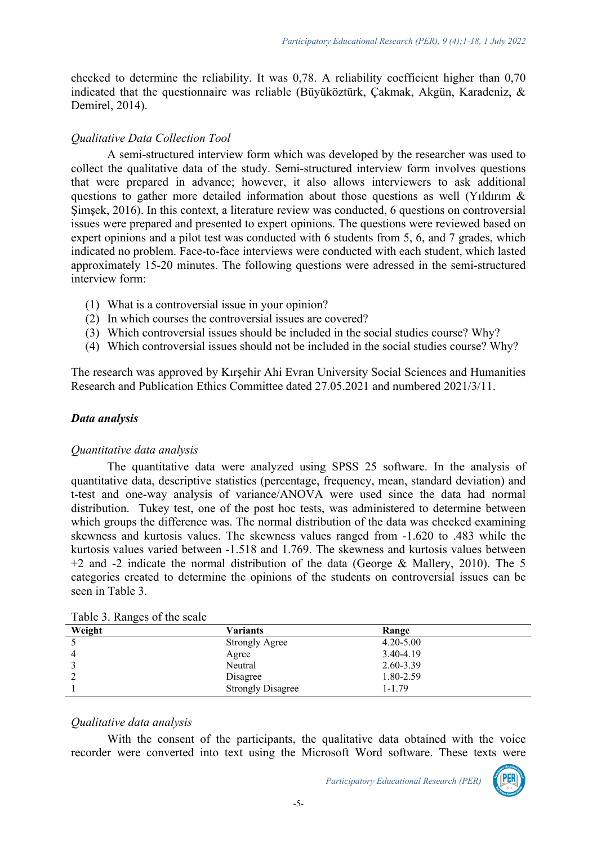checked to determine the reliability. It was 0,78. A reliability coefficient higher than 0,70 indicated that the questionnaire was reliable (Büyüköztürk, Çakmak, Akgün, Karadeniz, & Demirel, 2014).

## *Qualitative Data Collection Tool*

A semi-structured interview form which was developed by the researcher was used to collect the qualitative data of the study. Semi-structured interview form involves questions that were prepared in advance; however, it also allows interviewers to ask additional questions to gather more detailed information about those questions as well (Yıldırım & Şimşek, 2016). In this context, a literature review was conducted, 6 questions on controversial issues were prepared and presented to expert opinions. The questions were reviewed based on expert opinions and a pilot test was conducted with 6 students from 5, 6, and 7 grades, which indicated no problem. Face-to-face interviews were conducted with each student, which lasted approximately 15-20 minutes. The following questions were adressed in the semi-structured interview form:

- (1) What is a controversial issue in your opinion?
- (2) In which courses the controversial issues are covered?
- (3) Which controversial issues should be included in the social studies course? Why?
- (4) Which controversial issues should not be included in the social studies course? Why?

The research was approved by Kırşehir Ahi Evran University Social Sciences and Humanities Research and Publication Ethics Committee dated 27.05.2021 and numbered 2021/3/11.

## *Data analysis*

## *Quantitative data analysis*

The quantitative data were analyzed using SPSS 25 software. In the analysis of quantitative data, descriptive statistics (percentage, frequency, mean, standard deviation) and t-test and one-way analysis of variance/ANOVA were used since the data had normal distribution. Tukey test, one of the post hoc tests, was administered to determine between which groups the difference was. The normal distribution of the data was checked examining skewness and kurtosis values. The skewness values ranged from -1.620 to .483 while the kurtosis values varied between -1.518 and 1.769. The skewness and kurtosis values between  $+2$  and  $-2$  indicate the normal distribution of the data (George & Mallery, 2010). The 5 categories created to determine the opinions of the students on controversial issues can be seen in Table 3.

| ັ<br>Weight | Variants                 | Range         |  |
|-------------|--------------------------|---------------|--|
|             | <b>Strongly Agree</b>    | $4.20 - 5.00$ |  |
|             | Agree                    | 3.40-4.19     |  |
|             | Neutral                  | 2.60-3.39     |  |
|             | Disagree                 | 1.80-2.59     |  |
|             | <b>Strongly Disagree</b> | 1-1.79        |  |

| Table 3. Ranges of the scale |  |  |  |
|------------------------------|--|--|--|
|------------------------------|--|--|--|

## *Qualitative data analysis*

With the consent of the participants, the qualitative data obtained with the voice recorder were converted into text using the Microsoft Word software. These texts were

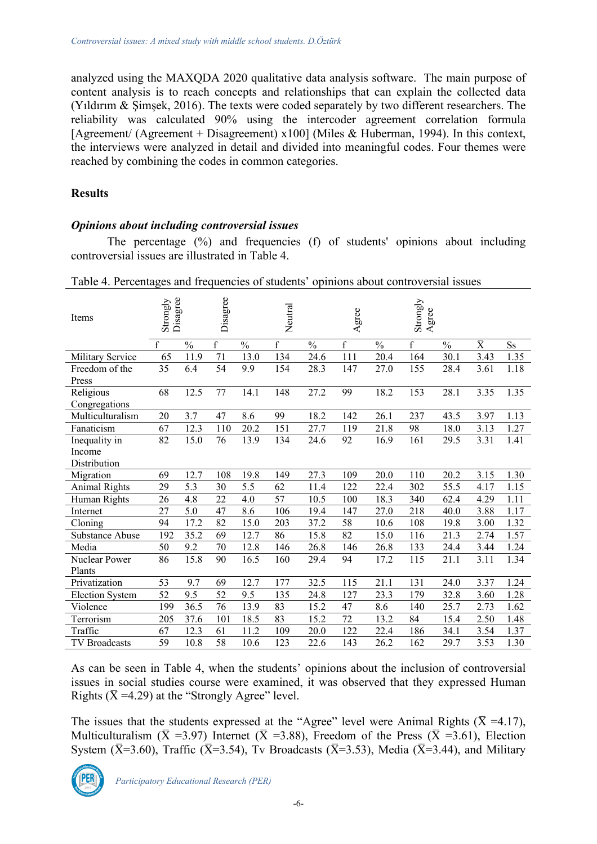analyzed using the MAXQDA 2020 qualitative data analysis software. The main purpose of content analysis is to reach concepts and relationships that can explain the collected data (Yıldırım & Şimşek, 2016). The texts were coded separately by two different researchers. The reliability was calculated 90% using the intercoder agreement correlation formula [Agreement/ (Agreement + Disagreement) x100] (Miles & Huberman, 1994). In this context, the interviews were analyzed in detail and divided into meaningful codes. Four themes were reached by combining the codes in common categories.

## **Results**

## *Opinions about including controversial issues*

The percentage (%) and frequencies (f) of students' opinions about including controversial issues are illustrated in Table 4.

| Items                  | Disagree<br>Strongly |                   | Disagree        |               | Neutral     |               | Agree       |               | Strongly<br>gree<br>$\blacktriangleleft$ |               |                           |           |
|------------------------|----------------------|-------------------|-----------------|---------------|-------------|---------------|-------------|---------------|------------------------------------------|---------------|---------------------------|-----------|
|                        | $\mathbf{f}$         | $\frac{0}{0}$     | $\mathbf f$     | $\frac{0}{0}$ | $\mathbf f$ | $\frac{0}{0}$ | $\mathbf f$ | $\frac{0}{0}$ | $\mathbf f$                              | $\frac{0}{0}$ | $\overline{\overline{X}}$ | <b>Ss</b> |
| Military Service       | 65                   | 11.9              | 71              | 13.0          | 134         | 24.6          | 111         | 20.4          | 164                                      | 30.1          | 3.43                      | 1.35      |
| Freedom of the         | 35                   | 6.4               | 54              | 9.9           | 154         | 28.3          | 147         | 27.0          | 155                                      | 28.4          | 3.61                      | 1.18      |
| Press                  |                      |                   |                 |               |             |               |             |               |                                          |               |                           |           |
| Religious              | 68                   | 12.5              | 77              | 14.1          | 148         | 27.2          | 99          | 18.2          | 153                                      | 28.1          | 3.35                      | 1.35      |
| Congregations          |                      |                   |                 |               |             |               |             |               |                                          |               |                           |           |
| Multiculturalism       | 20                   | 3.7               | 47              | 8.6           | 99          | 18.2          | 142         | 26.1          | 237                                      | 43.5          | 3.97                      | 1.13      |
| Fanaticism             | 67                   | 12.3              | 110             | 20.2          | 151         | 27.7          | 119         | 21.8          | 98                                       | 18.0          | 3.13                      | 1.27      |
| Inequality in          | 82                   | 15.0              | 76              | 13.9          | 134         | 24.6          | 92          | 16.9          | 161                                      | 29.5          | 3.31                      | 1.41      |
| Income                 |                      |                   |                 |               |             |               |             |               |                                          |               |                           |           |
| Distribution           |                      |                   |                 |               |             |               |             |               |                                          |               |                           |           |
| Migration              | 69                   | 12.7              | 108             | 19.8          | 149         | 27.3          | 109         | 20.0          | 110                                      | 20.2          | 3.15                      | 1.30      |
| <b>Animal Rights</b>   | 29                   | 5.3               | 30              | 5.5           | 62          | 11.4          | 122         | 22.4          | 302                                      | 55.5          | 4.17                      | 1.15      |
| Human Rights           | 26                   | 4.8               | 22              | 4.0           | 57          | 10.5          | 100         | 18.3          | 340                                      | 62.4          | 4.29                      | 1.11      |
| Internet               | 27                   | 5.0               | 47              | 8.6           | 106         | 19.4          | 147         | 27.0          | 218                                      | 40.0          | 3.88                      | 1.17      |
| Cloning                | 94                   | 17.2              | 82              | 15.0          | 203         | 37.2          | 58          | 10.6          | 108                                      | 19.8          | 3.00                      | 1.32      |
| Substance Abuse        | 192                  | 35.2              | 69              | 12.7          | 86          | 15.8          | 82          | 15.0          | 116                                      | 21.3          | 2.74                      | 1.57      |
| Media                  | 50                   | 9.2               | 70              | 12.8          | 146         | 26.8          | 146         | 26.8          | 133                                      | 24.4          | 3.44                      | 1.24      |
| Nuclear Power          | 86                   | 15.8              | 90              | 16.5          | 160         | 29.4          | 94          | 17.2          | 115                                      | 21.1          | 3.11                      | 1.34      |
| Plants                 |                      |                   |                 |               |             |               |             |               |                                          |               |                           |           |
| Privatization          | 53                   | 9.7               | 69              | 12.7          | 177         | 32.5          | 115         | 21.1          | 131                                      | 24.0          | 3.37                      | 1.24      |
| <b>Election System</b> | 52                   | 9.5               | 52              | 9.5           | 135         | 24.8          | 127         | 23.3          | 179                                      | 32.8          | 3.60                      | 1.28      |
| Violence               | 199                  | 36.5              | 76              | 13.9          | 83          | 15.2          | 47          | 8.6           | 140                                      | 25.7          | 2.73                      | 1.62      |
| Terrorism              | 205                  | 37.6              | 101             | 18.5          | 83          | 15.2          | 72          | 13.2          | 84                                       | 15.4          | 2.50                      | 1.48      |
| Traffic                | 67                   | 12.3              | 61              | 11.2          | 109         | 20.0          | 122         | 22.4          | 186                                      | 34.1          | 3.54                      | 1.37      |
| <b>TV Broadcasts</b>   | 59                   | $10.\overline{8}$ | $\overline{58}$ | 10.6          | 123         | 22.6          | 143         | 26.2          | 162                                      | 29.7          | 3.53                      | 1.30      |

Table 4. Percentages and frequencies of students' opinions about controversial issues

As can be seen in Table 4, when the students' opinions about the inclusion of controversial issues in social studies course were examined, it was observed that they expressed Human Rights ( $\bar{X}$  =4.29) at the "Strongly Agree" level.

The issues that the students expressed at the "Agree" level were Animal Rights ( $\bar{X}$  =4.17), Multiculturalism ( $\bar{X}$  =3.97) Internet ( $\bar{X}$  =3.88), Freedom of the Press ( $\bar{X}$  =3.61), Election System ( $\bar{X}$ =3.60), Traffic ( $\bar{X}$ =3.54), Tv Broadcasts ( $\bar{X}$ =3.53), Media ( $\bar{X}$ =3.44), and Military

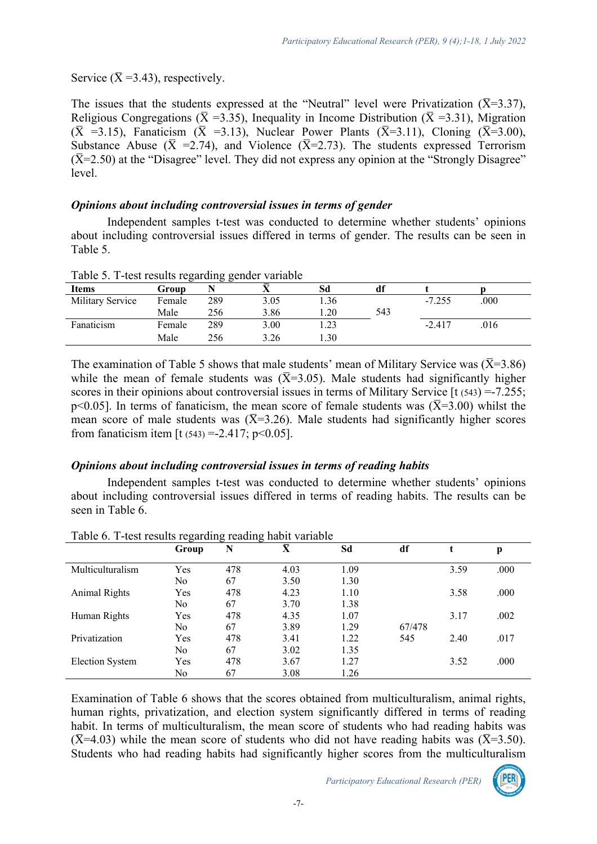Service ( $\bar{X}$ =3.43), respectively.

The issues that the students expressed at the "Neutral" level were Privatization ( $\bar{X}$ =3.37), Religious Congregations ( $\bar{X}$  =3.35), Inequality in Income Distribution ( $\bar{X}$  =3.31), Migration  $(\overline{X}$  =3.15), Fanaticism  $(\overline{X}$  =3.13), Nuclear Power Plants  $(\overline{X}$ =3.11), Cloning  $(\overline{X}$ =3.00), Substance Abuse ( $\bar{X}$  =2.74), and Violence ( $\bar{X}$ =2.73). The students expressed Terrorism  $(\overline{X}=2.50)$  at the "Disagree" level. They did not express any opinion at the "Strongly Disagree" level.

## *Opinions about including controversial issues in terms of gender*

Independent samples t-test was conducted to determine whether students' opinions about including controversial issues differed in terms of gender. The results can be seen in Table 5.

| Taste S. T test research regarding geneer variable |        |     |      |      |     |          |      |  |
|----------------------------------------------------|--------|-----|------|------|-----|----------|------|--|
| <b>Items</b>                                       | Group  |     |      | Sd   | df  |          |      |  |
| Military Service                                   | Female | 289 | 3.05 | 1.36 |     | $-7.255$ | .000 |  |
|                                                    | Male   | 256 | 3.86 | .20  | 543 |          |      |  |
| Fanaticism                                         | Female | 289 | 3.00 | .23  |     | $-2.417$ | .016 |  |
|                                                    | Male   | 256 | 3.26 | .30  |     |          |      |  |
|                                                    |        |     |      |      |     |          |      |  |

Table 5. T-test results regarding gender variable

The examination of Table 5 shows that male students' mean of Military Service was ( $\overline{X}$ =3.86) while the mean of female students was  $(\overline{X}=3.05)$ . Male students had significantly higher scores in their opinions about controversial issues in terms of Military Service [t (543) = -7.255; p<0.05]. In terms of fanaticism, the mean score of female students was  $(\overline{X}=3.00)$  whilst the mean score of male students was  $(\overline{X}=3.26)$ . Male students had significantly higher scores from fanaticism item  $[t(543) = -2.417; p < 0.05]$ .

## *Opinions about including controversial issues in terms of reading habits*

Independent samples t-test was conducted to determine whether students' opinions about including controversial issues differed in terms of reading habits. The results can be seen in Table 6.

|                      | Group | N   | $\overline{\overline{\mathbf{X}}}$ | Sd   | df     |      | p    |
|----------------------|-------|-----|------------------------------------|------|--------|------|------|
| Multiculturalism     | Yes   | 478 | 4.03                               | 1.09 |        | 3.59 | .000 |
|                      | No    | 67  | 3.50                               | 1.30 |        |      |      |
| <b>Animal Rights</b> | Yes   | 478 | 4.23                               | 1.10 |        | 3.58 | .000 |
|                      | No.   | 67  | 3.70                               | 1.38 |        |      |      |
| Human Rights         | Yes   | 478 | 4.35                               | 1.07 |        | 3.17 | .002 |
|                      | No    | 67  | 3.89                               | 1.29 | 67/478 |      |      |
| Privatization        | Yes   | 478 | 3.41                               | 1.22 | 545    | 2.40 | .017 |
|                      | No    | 67  | 3.02                               | 1.35 |        |      |      |
| Election System      | Yes   | 478 | 3.67                               | 1.27 |        | 3.52 | .000 |
|                      | No    | 67  | 3.08                               | .26  |        |      |      |

Table 6. T-test results regarding reading habit variable

Examination of Table 6 shows that the scores obtained from multiculturalism, animal rights, human rights, privatization, and election system significantly differed in terms of reading habit. In terms of multiculturalism, the mean score of students who had reading habits was  $(\overline{X}$ =4.03) while the mean score of students who did not have reading habits was ( $\overline{X}$ =3.50). Students who had reading habits had significantly higher scores from the multiculturalism

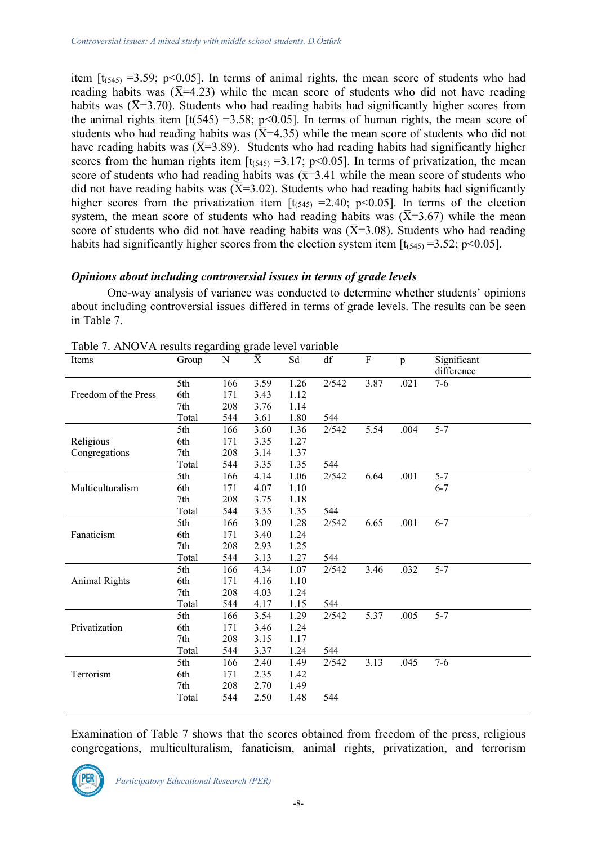item  $[t<sub>(545)</sub> = 3.59; p<0.05]$ . In terms of animal rights, the mean score of students who had reading habits was  $(\bar{X}=4.23)$  while the mean score of students who did not have reading habits was  $(\bar{X}=3.70)$ . Students who had reading habits had significantly higher scores from the animal rights item  $[t(545) = 3.58; p < 0.05]$ . In terms of human rights, the mean score of students who had reading habits was  $(\overline{X} = 4.35)$  while the mean score of students who did not have reading habits was  $(\overline{X}=3.89)$ . Students who had reading habits had significantly higher scores from the human rights item  $[t_{(545)} = 3.17; p<0.05]$ . In terms of privatization, the mean score of students who had reading habits was  $(\overline{x}=3.41)$  while the mean score of students who did not have reading habits was  $(\overline{X} = 3.02)$ . Students who had reading habits had significantly higher scores from the privatization item  $[t<sub>(545)</sub> = 2.40; p<0.05]$ . In terms of the election system, the mean score of students who had reading habits was  $(\overline{X}=3.67)$  while the mean score of students who did not have reading habits was  $(\overline{X}=3.08)$ . Students who had reading habits had significantly higher scores from the election system item  $[t<sub>(545)</sub> = 3.52; p<0.05]$ .

# *Opinions about including controversial issues in terms of grade levels*

One-way analysis of variance was conducted to determine whether students' opinions about including controversial issues differed in terms of grade levels. The results can be seen in Table 7.

| 2/542<br>3.87<br>5th<br>3.59<br>1.26<br>.021<br>$7-6$<br>166<br>6th<br>3.43<br>1.12<br>Freedom of the Press<br>171<br>7th<br>1.14<br>208<br>3.76<br>1.80<br>Total<br>3.61<br>544<br>544<br>$5 - 7$<br>2/542<br>5.54<br>.004<br>5th<br>166<br>3.60<br>1.36<br>Religious<br>1.27<br>6th<br>171<br>3.35<br>7th<br>208<br>3.14<br>1.37<br>Congregations<br>Total<br>544<br>3.35<br>1.35<br>544<br>2/542<br>6.64<br>$5 - 7$<br>5th<br>1.06<br>.001<br>166<br>4.14<br>Multiculturalism<br>6th<br>4.07<br>1.10<br>$6 - 7$<br>171<br>7th<br>208<br>3.75<br>1.18<br>3.35<br>1.35<br>Total<br>544<br>544<br>1.28<br>2/542<br>6.65<br>$6 - 7$<br>5th<br>3.09<br>.001<br>166<br>Fanaticism<br>1.24<br>6th<br>171<br>3.40<br>1.25<br>7th<br>208<br>2.93<br>544<br>1.27<br>544<br>Total<br>3.13<br>.032<br>$5 - 7$<br>4.34<br>1.07<br>2/542<br>3.46<br>5th<br>166<br>1.10<br><b>Animal Rights</b><br>6th<br>4.16<br>171<br>7th<br>208<br>4.03<br>1.24<br>544<br>4.17<br>1.15<br>544<br>Total<br>5.37<br>2/542<br>.005<br>$5 - 7$<br>5th<br>3.54<br>1.29<br>166<br>Privatization<br>6th<br>171<br>1.24<br>3.46<br>7th<br>208<br>3.15<br>1.17<br>1.24<br>Total<br>544<br>3.37<br>544<br>3.13<br>$7 - 6$<br>1.49<br>2/542<br>.045<br>5th<br>166<br>2.40<br>Terrorism<br>6th<br>171<br>2.35<br>1.42<br>7th<br>208<br>2.70<br>1.49<br>2.50<br>1.48<br>Total<br>544<br>544 | Items | Group | $\mathbf N$ | $\overline{\overline{X}}$ | Sd | df | ${\bf F}$ | $\mathbf{p}$ | Significant<br>difference |
|--------------------------------------------------------------------------------------------------------------------------------------------------------------------------------------------------------------------------------------------------------------------------------------------------------------------------------------------------------------------------------------------------------------------------------------------------------------------------------------------------------------------------------------------------------------------------------------------------------------------------------------------------------------------------------------------------------------------------------------------------------------------------------------------------------------------------------------------------------------------------------------------------------------------------------------------------------------------------------------------------------------------------------------------------------------------------------------------------------------------------------------------------------------------------------------------------------------------------------------------------------------------------------------------------------------------------------------------------------|-------|-------|-------------|---------------------------|----|----|-----------|--------------|---------------------------|
|                                                                                                                                                                                                                                                                                                                                                                                                                                                                                                                                                                                                                                                                                                                                                                                                                                                                                                                                                                                                                                                                                                                                                                                                                                                                                                                                                        |       |       |             |                           |    |    |           |              |                           |
|                                                                                                                                                                                                                                                                                                                                                                                                                                                                                                                                                                                                                                                                                                                                                                                                                                                                                                                                                                                                                                                                                                                                                                                                                                                                                                                                                        |       |       |             |                           |    |    |           |              |                           |
|                                                                                                                                                                                                                                                                                                                                                                                                                                                                                                                                                                                                                                                                                                                                                                                                                                                                                                                                                                                                                                                                                                                                                                                                                                                                                                                                                        |       |       |             |                           |    |    |           |              |                           |
|                                                                                                                                                                                                                                                                                                                                                                                                                                                                                                                                                                                                                                                                                                                                                                                                                                                                                                                                                                                                                                                                                                                                                                                                                                                                                                                                                        |       |       |             |                           |    |    |           |              |                           |
|                                                                                                                                                                                                                                                                                                                                                                                                                                                                                                                                                                                                                                                                                                                                                                                                                                                                                                                                                                                                                                                                                                                                                                                                                                                                                                                                                        |       |       |             |                           |    |    |           |              |                           |
|                                                                                                                                                                                                                                                                                                                                                                                                                                                                                                                                                                                                                                                                                                                                                                                                                                                                                                                                                                                                                                                                                                                                                                                                                                                                                                                                                        |       |       |             |                           |    |    |           |              |                           |
|                                                                                                                                                                                                                                                                                                                                                                                                                                                                                                                                                                                                                                                                                                                                                                                                                                                                                                                                                                                                                                                                                                                                                                                                                                                                                                                                                        |       |       |             |                           |    |    |           |              |                           |
|                                                                                                                                                                                                                                                                                                                                                                                                                                                                                                                                                                                                                                                                                                                                                                                                                                                                                                                                                                                                                                                                                                                                                                                                                                                                                                                                                        |       |       |             |                           |    |    |           |              |                           |
|                                                                                                                                                                                                                                                                                                                                                                                                                                                                                                                                                                                                                                                                                                                                                                                                                                                                                                                                                                                                                                                                                                                                                                                                                                                                                                                                                        |       |       |             |                           |    |    |           |              |                           |
|                                                                                                                                                                                                                                                                                                                                                                                                                                                                                                                                                                                                                                                                                                                                                                                                                                                                                                                                                                                                                                                                                                                                                                                                                                                                                                                                                        |       |       |             |                           |    |    |           |              |                           |
|                                                                                                                                                                                                                                                                                                                                                                                                                                                                                                                                                                                                                                                                                                                                                                                                                                                                                                                                                                                                                                                                                                                                                                                                                                                                                                                                                        |       |       |             |                           |    |    |           |              |                           |
|                                                                                                                                                                                                                                                                                                                                                                                                                                                                                                                                                                                                                                                                                                                                                                                                                                                                                                                                                                                                                                                                                                                                                                                                                                                                                                                                                        |       |       |             |                           |    |    |           |              |                           |
|                                                                                                                                                                                                                                                                                                                                                                                                                                                                                                                                                                                                                                                                                                                                                                                                                                                                                                                                                                                                                                                                                                                                                                                                                                                                                                                                                        |       |       |             |                           |    |    |           |              |                           |
|                                                                                                                                                                                                                                                                                                                                                                                                                                                                                                                                                                                                                                                                                                                                                                                                                                                                                                                                                                                                                                                                                                                                                                                                                                                                                                                                                        |       |       |             |                           |    |    |           |              |                           |
|                                                                                                                                                                                                                                                                                                                                                                                                                                                                                                                                                                                                                                                                                                                                                                                                                                                                                                                                                                                                                                                                                                                                                                                                                                                                                                                                                        |       |       |             |                           |    |    |           |              |                           |
|                                                                                                                                                                                                                                                                                                                                                                                                                                                                                                                                                                                                                                                                                                                                                                                                                                                                                                                                                                                                                                                                                                                                                                                                                                                                                                                                                        |       |       |             |                           |    |    |           |              |                           |
|                                                                                                                                                                                                                                                                                                                                                                                                                                                                                                                                                                                                                                                                                                                                                                                                                                                                                                                                                                                                                                                                                                                                                                                                                                                                                                                                                        |       |       |             |                           |    |    |           |              |                           |
|                                                                                                                                                                                                                                                                                                                                                                                                                                                                                                                                                                                                                                                                                                                                                                                                                                                                                                                                                                                                                                                                                                                                                                                                                                                                                                                                                        |       |       |             |                           |    |    |           |              |                           |
|                                                                                                                                                                                                                                                                                                                                                                                                                                                                                                                                                                                                                                                                                                                                                                                                                                                                                                                                                                                                                                                                                                                                                                                                                                                                                                                                                        |       |       |             |                           |    |    |           |              |                           |
|                                                                                                                                                                                                                                                                                                                                                                                                                                                                                                                                                                                                                                                                                                                                                                                                                                                                                                                                                                                                                                                                                                                                                                                                                                                                                                                                                        |       |       |             |                           |    |    |           |              |                           |
|                                                                                                                                                                                                                                                                                                                                                                                                                                                                                                                                                                                                                                                                                                                                                                                                                                                                                                                                                                                                                                                                                                                                                                                                                                                                                                                                                        |       |       |             |                           |    |    |           |              |                           |
|                                                                                                                                                                                                                                                                                                                                                                                                                                                                                                                                                                                                                                                                                                                                                                                                                                                                                                                                                                                                                                                                                                                                                                                                                                                                                                                                                        |       |       |             |                           |    |    |           |              |                           |
|                                                                                                                                                                                                                                                                                                                                                                                                                                                                                                                                                                                                                                                                                                                                                                                                                                                                                                                                                                                                                                                                                                                                                                                                                                                                                                                                                        |       |       |             |                           |    |    |           |              |                           |
|                                                                                                                                                                                                                                                                                                                                                                                                                                                                                                                                                                                                                                                                                                                                                                                                                                                                                                                                                                                                                                                                                                                                                                                                                                                                                                                                                        |       |       |             |                           |    |    |           |              |                           |
|                                                                                                                                                                                                                                                                                                                                                                                                                                                                                                                                                                                                                                                                                                                                                                                                                                                                                                                                                                                                                                                                                                                                                                                                                                                                                                                                                        |       |       |             |                           |    |    |           |              |                           |
|                                                                                                                                                                                                                                                                                                                                                                                                                                                                                                                                                                                                                                                                                                                                                                                                                                                                                                                                                                                                                                                                                                                                                                                                                                                                                                                                                        |       |       |             |                           |    |    |           |              |                           |
|                                                                                                                                                                                                                                                                                                                                                                                                                                                                                                                                                                                                                                                                                                                                                                                                                                                                                                                                                                                                                                                                                                                                                                                                                                                                                                                                                        |       |       |             |                           |    |    |           |              |                           |
|                                                                                                                                                                                                                                                                                                                                                                                                                                                                                                                                                                                                                                                                                                                                                                                                                                                                                                                                                                                                                                                                                                                                                                                                                                                                                                                                                        |       |       |             |                           |    |    |           |              |                           |

Table 7. ANOVA results regarding grade level variable

Examination of Table 7 shows that the scores obtained from freedom of the press, religious congregations, multiculturalism, fanaticism, animal rights, privatization, and terrorism

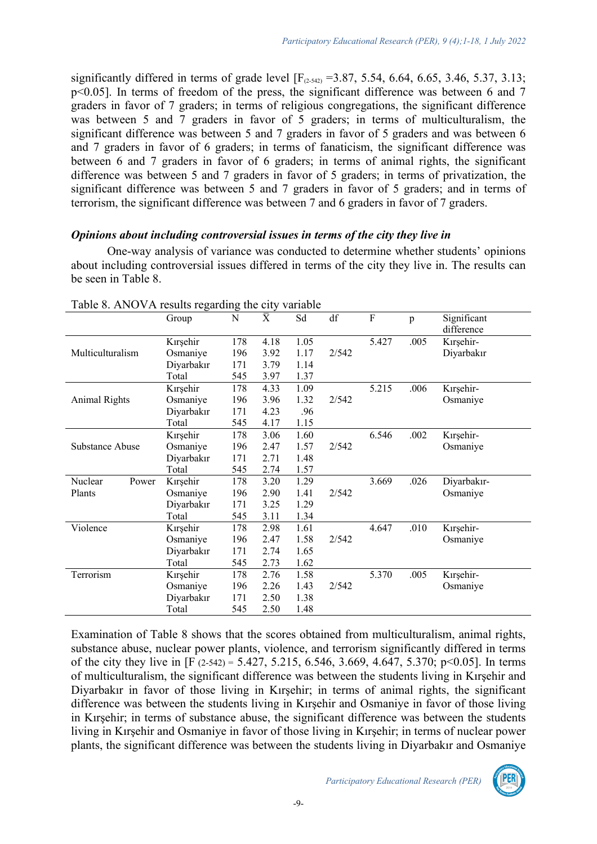significantly differed in terms of grade level  $[F_{(2-542)} = 3.87, 5.54, 6.64, 6.65, 3.46, 5.37, 3.13;$ p<0.05]. In terms of freedom of the press, the significant difference was between 6 and 7 graders in favor of 7 graders; in terms of religious congregations, the significant difference was between 5 and 7 graders in favor of 5 graders; in terms of multiculturalism, the significant difference was between 5 and 7 graders in favor of 5 graders and was between 6 and 7 graders in favor of 6 graders; in terms of fanaticism, the significant difference was between 6 and 7 graders in favor of 6 graders; in terms of animal rights, the significant difference was between 5 and 7 graders in favor of 5 graders; in terms of privatization, the significant difference was between 5 and 7 graders in favor of 5 graders; and in terms of terrorism, the significant difference was between 7 and 6 graders in favor of 7 graders.

#### *Opinions about including controversial issues in terms of the city they live in*

One-way analysis of variance was conducted to determine whether students' opinions about including controversial issues differed in terms of the city they live in. The results can be seen in Table 8.

| $\overline{\mathrm{X}}$<br>df<br>F<br>Sd<br>N<br>Significant<br>Group<br>p<br>difference<br>5.427<br>Kırşehir<br>178<br>4.18<br>1.05<br>.005<br>Kırşehir-<br>Multiculturalism<br>Diyarbakır<br>Osmaniye<br>196<br>3.92<br>1.17<br>2/542<br>171<br>Diyarbakır<br>3.79<br>1.14 |             |
|------------------------------------------------------------------------------------------------------------------------------------------------------------------------------------------------------------------------------------------------------------------------------|-------------|
|                                                                                                                                                                                                                                                                              |             |
|                                                                                                                                                                                                                                                                              |             |
|                                                                                                                                                                                                                                                                              |             |
|                                                                                                                                                                                                                                                                              |             |
|                                                                                                                                                                                                                                                                              |             |
| 545<br>1.37<br>Total<br>3.97                                                                                                                                                                                                                                                 |             |
| Kırşehir<br>5.215<br>.006<br>178<br>4.33<br>1.09<br>Kırşehir-                                                                                                                                                                                                                |             |
| 2/542<br>196<br>3.96<br>1.32<br><b>Animal Rights</b><br>Osmaniye<br>Osmaniye                                                                                                                                                                                                 |             |
| Diyarbakır<br>171<br>4.23<br>.96                                                                                                                                                                                                                                             |             |
| 1.15<br>Total<br>545<br>4.17                                                                                                                                                                                                                                                 |             |
| 6.546<br>Kırşehir<br>1.60<br>.002<br>Kırşehir-<br>178<br>3.06                                                                                                                                                                                                                |             |
| 2/542<br>Osmaniye<br>196<br>2.47<br>1.57<br>Substance Abuse<br>Osmaniye                                                                                                                                                                                                      |             |
| Diyarbakır<br>171<br>2.71<br>1.48                                                                                                                                                                                                                                            |             |
| Total<br>545<br>2.74<br>1.57                                                                                                                                                                                                                                                 |             |
| Nuclear<br>Kırşehir<br>178<br>1.29<br>3.669<br>.026<br>3.20<br>Power                                                                                                                                                                                                         | Diyarbakır- |
| 2/542<br>196<br>Plants<br>2.90<br>1.41<br>Osmaniye<br>Osmaniye                                                                                                                                                                                                               |             |
| 1.29<br>Diyarbakır<br>171<br>3.25                                                                                                                                                                                                                                            |             |
| Total<br>545<br>3.11<br>1.34                                                                                                                                                                                                                                                 |             |
| 4.647<br>.010<br>Kırşehir-<br>Violence<br>Kırşehir<br>1.61<br>178<br>2.98                                                                                                                                                                                                    |             |
| 2/542<br>196<br>2.47<br>1.58<br>Osmaniye<br>Osmaniye                                                                                                                                                                                                                         |             |
| Diyarbakır<br>171<br>1.65<br>2.74                                                                                                                                                                                                                                            |             |
| 545<br>2.73<br>1.62<br>Total                                                                                                                                                                                                                                                 |             |
| Terrorism<br>.005<br>5.370<br>Kırşehir-<br>Kırşehir<br>178<br>2.76<br>1.58                                                                                                                                                                                                   |             |
| Osmaniye<br>2/542<br>196<br>2.26<br>1.43<br>Osmaniye                                                                                                                                                                                                                         |             |
| Diyarbakır<br>171<br>2.50<br>1.38                                                                                                                                                                                                                                            |             |
| 1.48<br>Total<br>545<br>2.50                                                                                                                                                                                                                                                 |             |

Table 8. ANOVA results regarding the city variable

Examination of Table 8 shows that the scores obtained from multiculturalism, animal rights, substance abuse, nuclear power plants, violence, and terrorism significantly differed in terms of the city they live in  $[F (2-542) = 5.427, 5.215, 6.546, 3.669, 4.647, 5.370; p<0.05]$ . In terms of multiculturalism, the significant difference was between the students living in Kırşehir and Diyarbakır in favor of those living in Kırşehir; in terms of animal rights, the significant difference was between the students living in Kırşehir and Osmaniye in favor of those living in Kırşehir; in terms of substance abuse, the significant difference was between the students living in Kırşehir and Osmaniye in favor of those living in Kırşehir; in terms of nuclear power plants, the significant difference was between the students living in Diyarbakır and Osmaniye

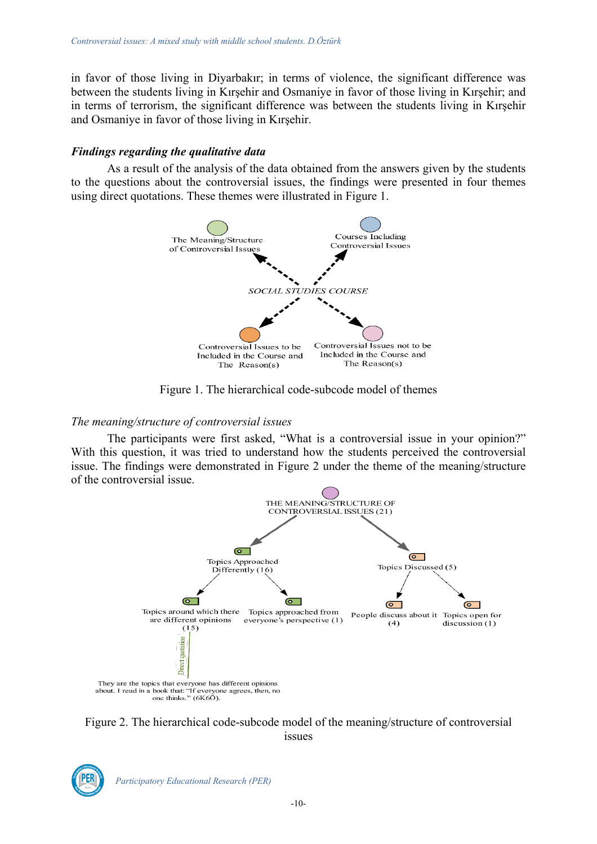in favor of those living in Diyarbakır; in terms of violence, the significant difference was between the students living in Kırşehir and Osmaniye in favor of those living in Kırşehir; and in terms of terrorism, the significant difference was between the students living in Kırşehir and Osmaniye in favor of those living in Kırşehir.

# *Findings regarding the qualitative data*

As a result of the analysis of the data obtained from the answers given by the students to the questions about the controversial issues, the findings were presented in four themes using direct quotations. These themes were illustrated in Figure 1.



Figure 1. The hierarchical code-subcode model of themes

# *The meaning/structure of controversial issues*

The participants were first asked, "What is a controversial issue in your opinion?" With this question, it was tried to understand how the students perceived the controversial issue. The findings were demonstrated in Figure 2 under the theme of the meaning/structure of the controversial issue.



Figure 2. The hierarchical code-subcode model of the meaning/structure of controversial issues



*Participatory Educational Research (PER)*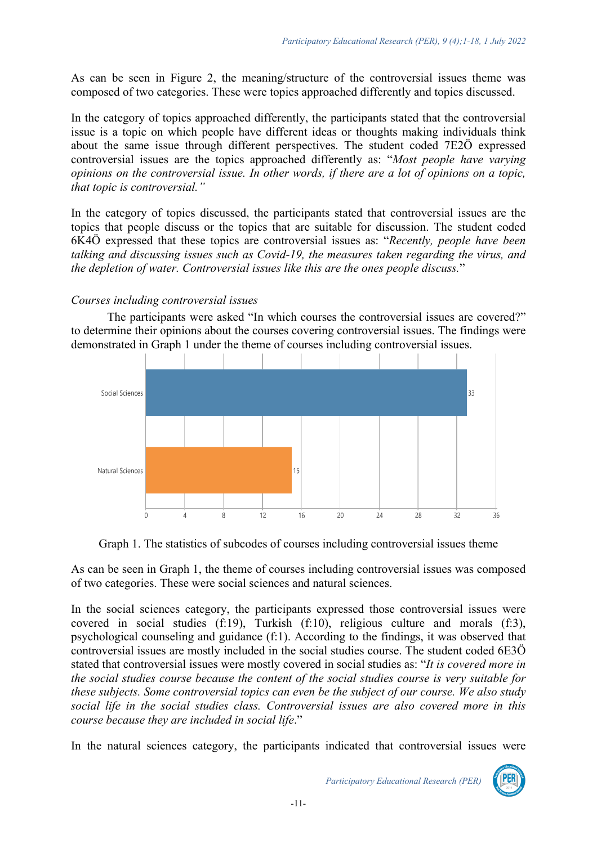As can be seen in Figure 2, the meaning/structure of the controversial issues theme was composed of two categories. These were topics approached differently and topics discussed.

In the category of topics approached differently, the participants stated that the controversial issue is a topic on which people have different ideas or thoughts making individuals think about the same issue through different perspectives. The student coded 7E2Ö expressed controversial issues are the topics approached differently as: "*Most people have varying opinions on the controversial issue. In other words, if there are a lot of opinions on a topic, that topic is controversial."*

In the category of topics discussed, the participants stated that controversial issues are the topics that people discuss or the topics that are suitable for discussion. The student coded 6K4Ö expressed that these topics are controversial issues as: "*Recently, people have been talking and discussing issues such as Covid-19, the measures taken regarding the virus, and the depletion of water. Controversial issues like this are the ones people discuss.*"

## *Courses including controversial issues*

The participants were asked "In which courses the controversial issues are covered?" to determine their opinions about the courses covering controversial issues. The findings were demonstrated in Graph 1 under the theme of courses including controversial issues.



Graph 1. The statistics of subcodes of courses including controversial issues theme

As can be seen in Graph 1, the theme of courses including controversial issues was composed of two categories. These were social sciences and natural sciences.

In the social sciences category, the participants expressed those controversial issues were covered in social studies (f:19), Turkish (f:10), religious culture and morals (f:3), psychological counseling and guidance (f:1). According to the findings, it was observed that controversial issues are mostly included in the social studies course. The student coded 6E3Ö stated that controversial issues were mostly covered in social studies as: "*It is covered more in the social studies course because the content of the social studies course is very suitable for these subjects. Some controversial topics can even be the subject of our course. We also study social life in the social studies class. Controversial issues are also covered more in this course because they are included in social life*."

In the natural sciences category, the participants indicated that controversial issues were

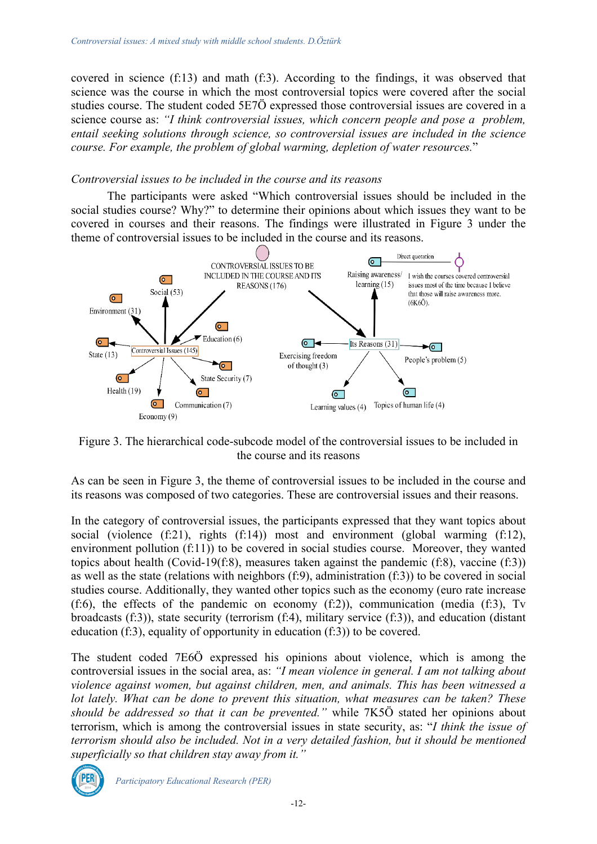covered in science (f:13) and math (f:3). According to the findings, it was observed that science was the course in which the most controversial topics were covered after the social studies course. The student coded 5E7Ö expressed those controversial issues are covered in a science course as: *"I think controversial issues, which concern people and pose a problem, entail seeking solutions through science, so controversial issues are included in the science course. For example, the problem of global warming, depletion of water resources.*"

## *Controversial issues to be included in the course and its reasons*

The participants were asked "Which controversial issues should be included in the social studies course? Why?" to determine their opinions about which issues they want to be covered in courses and their reasons. The findings were illustrated in Figure 3 under the theme of controversial issues to be included in the course and its reasons.



Figure 3. The hierarchical code-subcode model of the controversial issues to be included in the course and its reasons

As can be seen in Figure 3, the theme of controversial issues to be included in the course and its reasons was composed of two categories. These are controversial issues and their reasons.

In the category of controversial issues, the participants expressed that they want topics about social (violence (f:21), rights (f:14)) most and environment (global warming (f:12), environment pollution (f:11)) to be covered in social studies course. Moreover, they wanted topics about health (Covid-19(f:8), measures taken against the pandemic (f:8), vaccine (f:3)) as well as the state (relations with neighbors (f:9), administration (f:3)) to be covered in social studies course. Additionally, they wanted other topics such as the economy (euro rate increase (f:6), the effects of the pandemic on economy (f:2)), communication (media (f:3), Tv broadcasts (f:3)), state security (terrorism (f:4), military service (f:3)), and education (distant education (f:3), equality of opportunity in education (f:3)) to be covered.

The student coded 7E6Ö expressed his opinions about violence, which is among the controversial issues in the social area, as: *"I mean violence in general. I am not talking about violence against women, but against children, men, and animals. This has been witnessed a lot lately. What can be done to prevent this situation, what measures can be taken? These should be addressed so that it can be prevented."* while 7K5Ö stated her opinions about terrorism, which is among the controversial issues in state security, as: "*I think the issue of terrorism should also be included. Not in a very detailed fashion, but it should be mentioned superficially so that children stay away from it."*



*Participatory Educational Research (PER)*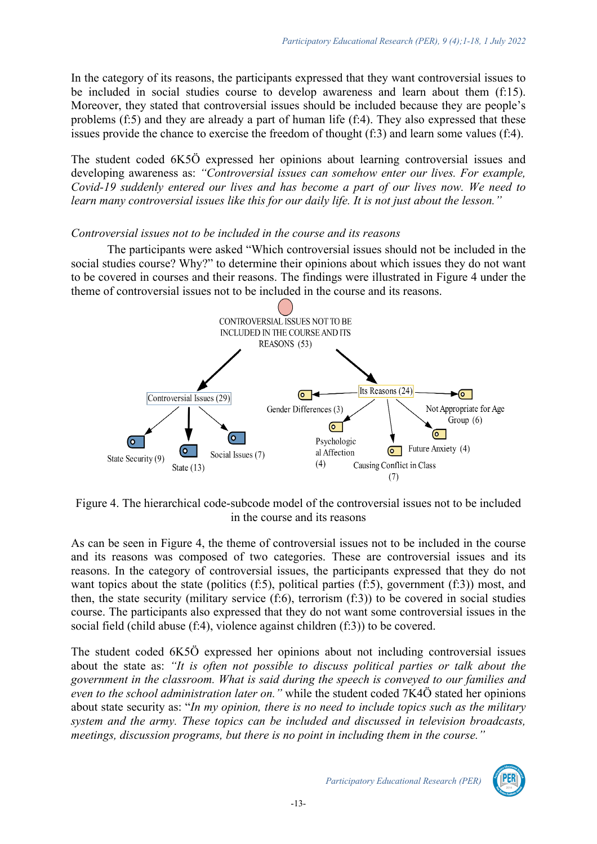In the category of its reasons, the participants expressed that they want controversial issues to be included in social studies course to develop awareness and learn about them (f:15). Moreover, they stated that controversial issues should be included because they are people's problems (f:5) and they are already a part of human life (f:4). They also expressed that these issues provide the chance to exercise the freedom of thought (f:3) and learn some values (f:4).

The student coded 6K5Ö expressed her opinions about learning controversial issues and developing awareness as: *"Controversial issues can somehow enter our lives. For example, Covid-19 suddenly entered our lives and has become a part of our lives now. We need to learn many controversial issues like this for our daily life. It is not just about the lesson."* 

#### *Controversial issues not to be included in the course and its reasons*

The participants were asked "Which controversial issues should not be included in the social studies course? Why?" to determine their opinions about which issues they do not want to be covered in courses and their reasons. The findings were illustrated in Figure 4 under the theme of controversial issues not to be included in the course and its reasons.



Figure 4. The hierarchical code-subcode model of the controversial issues not to be included in the course and its reasons

As can be seen in Figure 4, the theme of controversial issues not to be included in the course and its reasons was composed of two categories. These are controversial issues and its reasons. In the category of controversial issues, the participants expressed that they do not want topics about the state (politics (f:5), political parties (f:5), government (f:3)) most, and then, the state security (military service (f:6), terrorism (f:3)) to be covered in social studies course. The participants also expressed that they do not want some controversial issues in the social field (child abuse (f:4), violence against children (f:3)) to be covered.

The student coded 6K5Ö expressed her opinions about not including controversial issues about the state as: *"It is often not possible to discuss political parties or talk about the government in the classroom. What is said during the speech is conveyed to our families and even to the school administration later on."* while the student coded 7K4Ö stated her opinions about state security as: "*In my opinion, there is no need to include topics such as the military system and the army. These topics can be included and discussed in television broadcasts, meetings, discussion programs, but there is no point in including them in the course."*

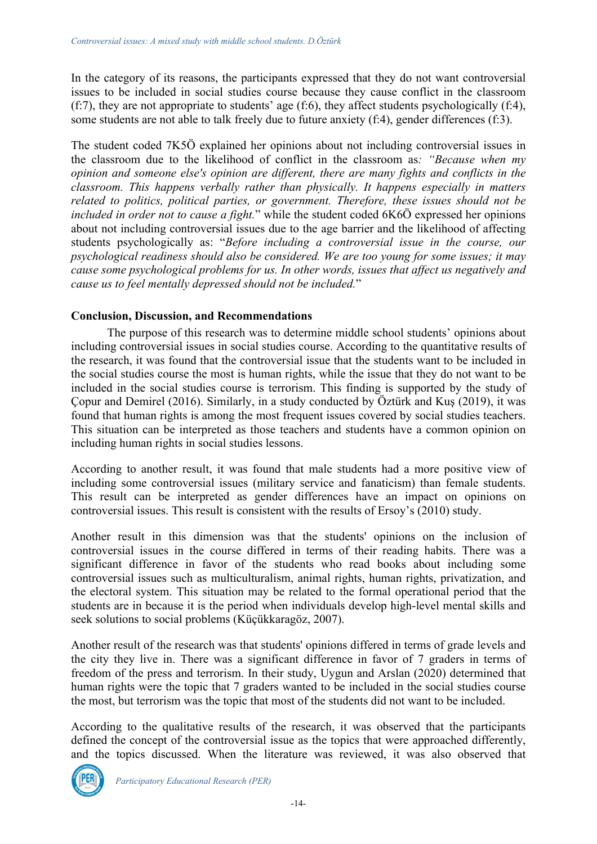In the category of its reasons, the participants expressed that they do not want controversial issues to be included in social studies course because they cause conflict in the classroom (f:7), they are not appropriate to students' age (f:6), they affect students psychologically (f:4), some students are not able to talk freely due to future anxiety (f:4), gender differences (f:3).

The student coded 7K5Ö explained her opinions about not including controversial issues in the classroom due to the likelihood of conflict in the classroom as*: "Because when my opinion and someone else's opinion are different, there are many fights and conflicts in the classroom. This happens verbally rather than physically. It happens especially in matters related to politics, political parties, or government. Therefore, these issues should not be included in order not to cause a fight.*" while the student coded 6K6Ö expressed her opinions about not including controversial issues due to the age barrier and the likelihood of affecting students psychologically as: "*Before including a controversial issue in the course, our psychological readiness should also be considered. We are too young for some issues; it may cause some psychological problems for us. In other words, issues that affect us negatively and cause us to feel mentally depressed should not be included.*"

## **Conclusion, Discussion, and Recommendations**

The purpose of this research was to determine middle school students' opinions about including controversial issues in social studies course. According to the quantitative results of the research, it was found that the controversial issue that the students want to be included in the social studies course the most is human rights, while the issue that they do not want to be included in the social studies course is terrorism. This finding is supported by the study of Çopur and Demirel (2016). Similarly, in a study conducted by Öztürk and Kuş (2019), it was found that human rights is among the most frequent issues covered by social studies teachers. This situation can be interpreted as those teachers and students have a common opinion on including human rights in social studies lessons.

According to another result, it was found that male students had a more positive view of including some controversial issues (military service and fanaticism) than female students. This result can be interpreted as gender differences have an impact on opinions on controversial issues. This result is consistent with the results of Ersoy's (2010) study.

Another result in this dimension was that the students' opinions on the inclusion of controversial issues in the course differed in terms of their reading habits. There was a significant difference in favor of the students who read books about including some controversial issues such as multiculturalism, animal rights, human rights, privatization, and the electoral system. This situation may be related to the formal operational period that the students are in because it is the period when individuals develop high-level mental skills and seek solutions to social problems (Küçükkaragöz, 2007).

Another result of the research was that students' opinions differed in terms of grade levels and the city they live in. There was a significant difference in favor of 7 graders in terms of freedom of the press and terrorism. In their study, Uygun and Arslan (2020) determined that human rights were the topic that 7 graders wanted to be included in the social studies course the most, but terrorism was the topic that most of the students did not want to be included.

According to the qualitative results of the research, it was observed that the participants defined the concept of the controversial issue as the topics that were approached differently, and the topics discussed. When the literature was reviewed, it was also observed that

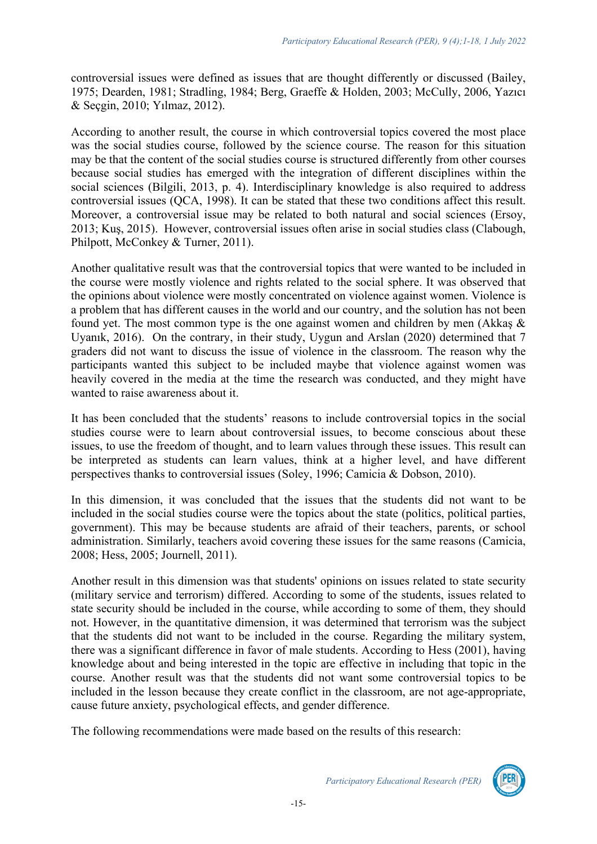controversial issues were defined as issues that are thought differently or discussed (Bailey, 1975; Dearden, 1981; Stradling, 1984; Berg, Graeffe & Holden, 2003; McCully, 2006, Yazıcı & Seçgin, 2010; Yılmaz, 2012).

According to another result, the course in which controversial topics covered the most place was the social studies course, followed by the science course. The reason for this situation may be that the content of the social studies course is structured differently from other courses because social studies has emerged with the integration of different disciplines within the social sciences (Bilgili, 2013, p. 4). Interdisciplinary knowledge is also required to address controversial issues (QCA, 1998). It can be stated that these two conditions affect this result. Moreover, a controversial issue may be related to both natural and social sciences (Ersoy, 2013; Kuş, 2015). However, controversial issues often arise in social studies class (Clabough, Philpott, McConkey & Turner, 2011).

Another qualitative result was that the controversial topics that were wanted to be included in the course were mostly violence and rights related to the social sphere. It was observed that the opinions about violence were mostly concentrated on violence against women. Violence is a problem that has different causes in the world and our country, and the solution has not been found yet. The most common type is the one against women and children by men (Akkaş & Uyanık, 2016). On the contrary, in their study, Uygun and Arslan (2020) determined that 7 graders did not want to discuss the issue of violence in the classroom. The reason why the participants wanted this subject to be included maybe that violence against women was heavily covered in the media at the time the research was conducted, and they might have wanted to raise awareness about it.

It has been concluded that the students' reasons to include controversial topics in the social studies course were to learn about controversial issues, to become conscious about these issues, to use the freedom of thought, and to learn values through these issues. This result can be interpreted as students can learn values, think at a higher level, and have different perspectives thanks to controversial issues (Soley, 1996; Camicia & Dobson, 2010).

In this dimension, it was concluded that the issues that the students did not want to be included in the social studies course were the topics about the state (politics, political parties, government). This may be because students are afraid of their teachers, parents, or school administration. Similarly, teachers avoid covering these issues for the same reasons (Camicia, 2008; Hess, 2005; Journell, 2011).

Another result in this dimension was that students' opinions on issues related to state security (military service and terrorism) differed. According to some of the students, issues related to state security should be included in the course, while according to some of them, they should not. However, in the quantitative dimension, it was determined that terrorism was the subject that the students did not want to be included in the course. Regarding the military system, there was a significant difference in favor of male students. According to Hess (2001), having knowledge about and being interested in the topic are effective in including that topic in the course. Another result was that the students did not want some controversial topics to be included in the lesson because they create conflict in the classroom, are not age-appropriate, cause future anxiety, psychological effects, and gender difference.

The following recommendations were made based on the results of this research:



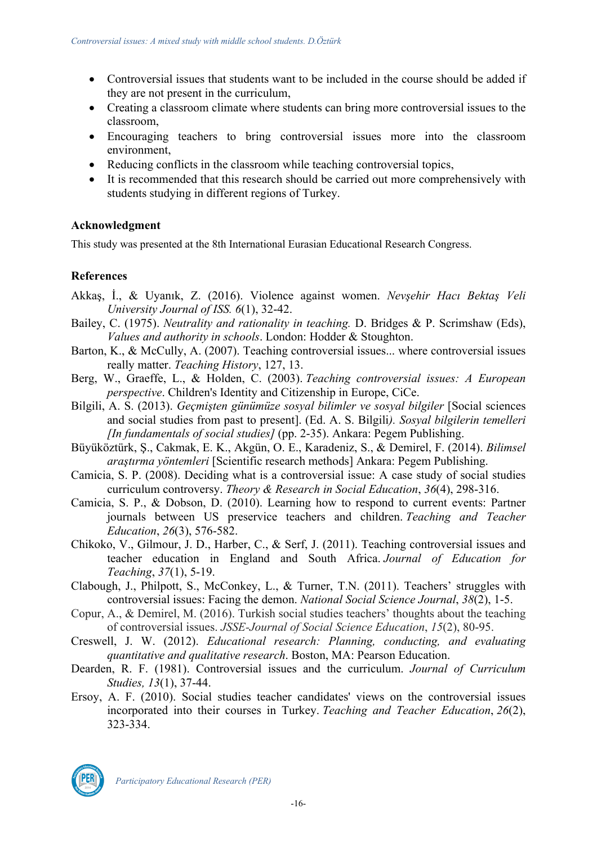- Controversial issues that students want to be included in the course should be added if they are not present in the curriculum,
- Creating a classroom climate where students can bring more controversial issues to the classroom,
- Encouraging teachers to bring controversial issues more into the classroom environment,
- Reducing conflicts in the classroom while teaching controversial topics,
- It is recommended that this research should be carried out more comprehensively with students studying in different regions of Turkey.

# **Acknowledgment**

This study was presented at the 8th International Eurasian Educational Research Congress.

# **References**

- Akkaş, İ., & Uyanık, Z. (2016). Violence against women. *Nevşehir Hacı Bektaş Veli University Journal of ISS. 6*(1), 32-42.
- Bailey, C. (1975). *Neutrality and rationality in teaching.* D. Bridges & P. Scrimshaw (Eds), *Values and authority in schools*. London: Hodder & Stoughton.
- Barton, K., & McCully, A. (2007). Teaching controversial issues... where controversial issues really matter. *Teaching History*, 127, 13.
- Berg, W., Graeffe, L., & Holden, C. (2003). *Teaching controversial issues: A European perspective*. Children's Identity and Citizenship in Europe, CiCe.
- Bilgili, A. S. (2013). *Geçmişten günümüze sosyal bilimler ve sosyal bilgiler* [Social sciences and social studies from past to present]. (Ed. A. S. Bilgili*). Sosyal bilgilerin temelleri [In fundamentals of social studies]* (pp. 2-35). Ankara: Pegem Publishing.
- Büyüköztürk, Ş., Cakmak, E. K., Akgün, O. E., Karadeniz, S., & Demirel, F. (2014). *Bilimsel araştırma yöntemleri* [Scientific research methods] Ankara: Pegem Publishing.
- Camicia, S. P. (2008). Deciding what is a controversial issue: A case study of social studies curriculum controversy. *Theory & Research in Social Education*, *36*(4), 298-316.
- Camicia, S. P., & Dobson, D. (2010). Learning how to respond to current events: Partner journals between US preservice teachers and children. *Teaching and Teacher Education*, *26*(3), 576-582.
- Chikoko, V., Gilmour, J. D., Harber, C., & Serf, J. (2011). Teaching controversial issues and teacher education in England and South Africa. *Journal of Education for Teaching*, *37*(1), 5-19.
- Clabough, J., Philpott, S., McConkey, L., & Turner, T.N. (2011). Teachers' struggles with controversial issues: Facing the demon. *National Social Science Journal*, *38*(2), 1-5.
- Copur, A., & Demirel, M. (2016). Turkish social studies teachers' thoughts about the teaching of controversial issues. *JSSE-Journal of Social Science Education*, *15*(2), 80-95.
- Creswell, J. W. (2012). *Educational research: Planning, conducting, and evaluating quantitative and qualitative research*. Boston, MA: Pearson Education.
- Dearden, R. F. (1981). Controversial issues and the curriculum. *Journal of Curriculum Studies, 13*(1), 37-44.
- Ersoy, A. F. (2010). Social studies teacher candidates' views on the controversial issues incorporated into their courses in Turkey. *Teaching and Teacher Education*, *26*(2), 323-334.

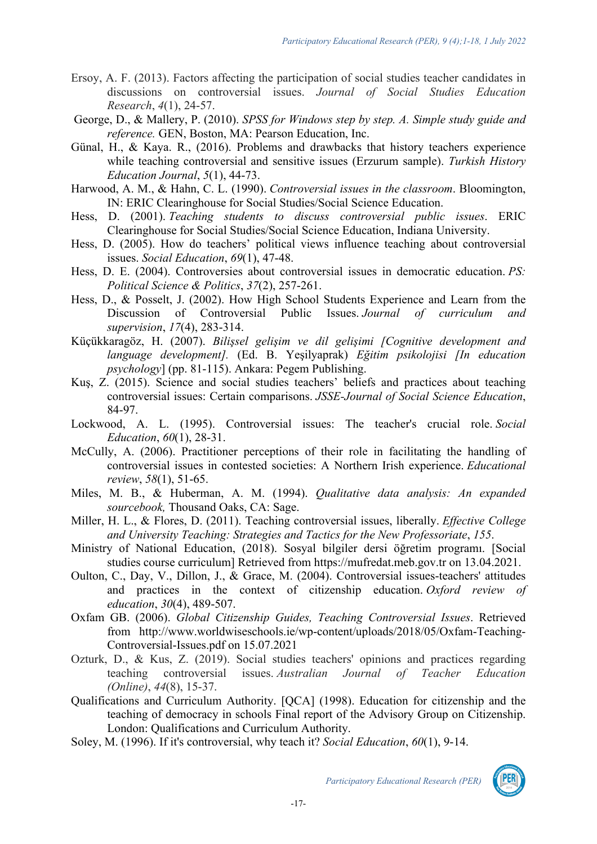- Ersoy, A. F. (2013). Factors affecting the participation of social studies teacher candidates in discussions on controversial issues. *Journal of Social Studies Education Research*, *4*(1), 24-57.
- George, D., & Mallery, P. (2010). *SPSS for Windows step by step. A. Simple study guide and reference.* GEN, Boston, MA: Pearson Education, Inc.
- Günal, H., & Kaya. R., (2016). Problems and drawbacks that history teachers experience while teaching controversial and sensitive issues (Erzurum sample). *Turkish History Education Journal*, *5*(1), 44-73.
- Harwood, A. M., & Hahn, C. L. (1990). *Controversial issues in the classroom*. Bloomington, IN: ERIC Clearinghouse for Social Studies/Social Science Education.
- Hess, D. (2001). *Teaching students to discuss controversial public issues*. ERIC Clearinghouse for Social Studies/Social Science Education, Indiana University.
- Hess, D. (2005). How do teachers' political views influence teaching about controversial issues. *Social Education*, *69*(1), 47-48.
- Hess, D. E. (2004). Controversies about controversial issues in democratic education. *PS: Political Science & Politics*, *37*(2), 257-261.
- Hess, D., & Posselt, J. (2002). How High School Students Experience and Learn from the Discussion of Controversial Public Issues. *Journal of curriculum and supervision*, *17*(4), 283-314.
- Küçükkaragöz, H. (2007). *Bilişsel gelişim ve dil gelişimi [Cognitive development and language development].* (Ed. B. Yeşilyaprak) *Eğitim psikolojisi [In education psychology*] (pp. 81-115). Ankara: Pegem Publishing.
- Kuş, Z. (2015). Science and social studies teachers' beliefs and practices about teaching controversial issues: Certain comparisons. *JSSE-Journal of Social Science Education*, 84-97.
- Lockwood, A. L. (1995). Controversial issues: The teacher's crucial role. *Social Education*, *60*(1), 28-31.
- McCully, A. (2006). Practitioner perceptions of their role in facilitating the handling of controversial issues in contested societies: A Northern Irish experience. *Educational review*, *58*(1), 51-65.
- Miles, M. B., & Huberman, A. M. (1994). *Qualitative data analysis: An expanded sourcebook,* Thousand Oaks, CA: Sage.
- Miller, H. L., & Flores, D. (2011). Teaching controversial issues, liberally. *Effective College and University Teaching: Strategies and Tactics for the New Professoriate*, *155*.
- Ministry of National Education, (2018). Sosyal bilgiler dersi öğretim programı. [Social studies course curriculum] Retrieved from https://mufredat.meb.gov.tr on 13.04.2021.
- Oulton, C., Day, V., Dillon, J., & Grace, M. (2004). Controversial issues‐teachers' attitudes and practices in the context of citizenship education. *Oxford review of education*, *30*(4), 489-507.
- Oxfam GB. (2006). *Global Citizenship Guides, Teaching Controversial Issues*. Retrieved from http://www.worldwiseschools.ie/wp-content/uploads/2018/05/Oxfam-Teaching-Controversial-Issues.pdf on 15.07.2021
- Ozturk, D., & Kus, Z. (2019). Social studies teachers' opinions and practices regarding teaching controversial issues. *Australian Journal of Teacher Education (Online)*, *44*(8), 15-37.
- Qualifications and Curriculum Authority. [QCA] (1998). Education for citizenship and the teaching of democracy in schools Final report of the Advisory Group on Citizenship. London: Qualifications and Curriculum Authority.
- Soley, M. (1996). If it's controversial, why teach it? *Social Education*, *60*(1), 9-14.